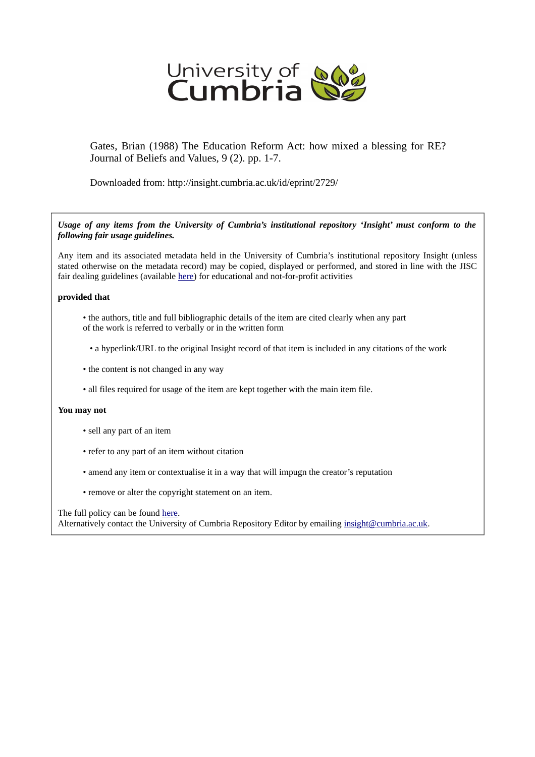

Gates, Brian (1988) The Education Reform Act: how mixed a blessing for RE? Journal of Beliefs and Values, 9 (2). pp. 1-7.

Downloaded from: http://insight.cumbria.ac.uk/id/eprint/2729/

*Usage of any items from the University of Cumbria's institutional repository 'Insight' must conform to the following fair usage guidelines.*

Any item and its associated metadata held in the University of Cumbria's institutional repository Insight (unless stated otherwise on the metadata record) may be copied, displayed or performed, and stored in line with the JISC fair dealing guidelines (available [here\)](http://www.ukoln.ac.uk/services/elib/papers/pa/fair/) for educational and not-for-profit activities

## **provided that**

- the authors, title and full bibliographic details of the item are cited clearly when any part of the work is referred to verbally or in the written form
	- a hyperlink/URL to the original Insight record of that item is included in any citations of the work
- the content is not changed in any way
- all files required for usage of the item are kept together with the main item file.

## **You may not**

- sell any part of an item
- refer to any part of an item without citation
- amend any item or contextualise it in a way that will impugn the creator's reputation
- remove or alter the copyright statement on an item.

The full policy can be found [here.](http://insight.cumbria.ac.uk/legal.html#section5)

Alternatively contact the University of Cumbria Repository Editor by emailing [insight@cumbria.ac.uk.](mailto:insight@cumbria.ac.uk)